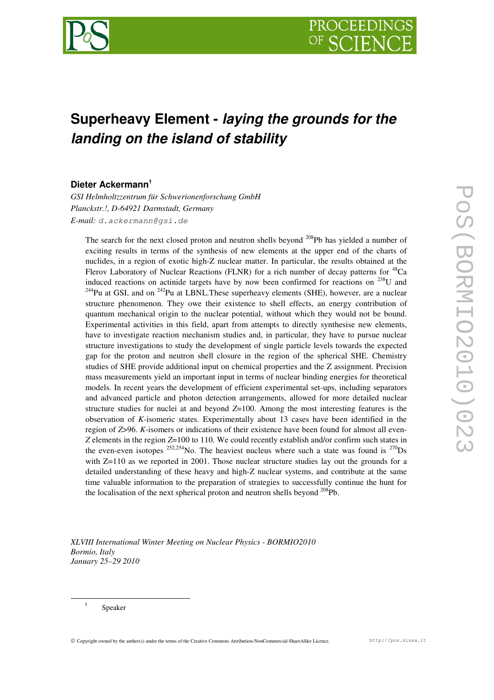

# **Superheavy Element -** *laying the grounds for the landing on the island of stability*

# **Dieter Ackermann 1**

*GSI Helmholtzzentrum für Schwerionenforschung GmbH Planckstr.!, D-64921 Darmstadt, Germany E-mail: d.ackermann@gsi.de*

The search for the next closed proton and neutron shells beyond  $^{208}Pb$  has yielded a number of exciting results in terms of the synthesis of new elements at the upper end of the charts of nuclides, in a region of exotic high-Z nuclear matter. In particular, the results obtained at the Flerov Laboratory of Nuclear Reactions (FLNR) for a rich number of decay patterns for <sup>48</sup>Ca induced reactions on actinide targets have by now been confirmed for reactions on  $^{238}$ U and  $^{244}$ Pu at GSI, and on  $^{242}$ Pu at LBNL. These superheavy elements (SHE), however, are a nuclear structure phenomenon. They owe their existence to shell effects, an energy contribution of quantum mechanical origin to the nuclear potential, without which they would not be bound. Experimental activities in this field, apart from attempts to directly synthesise new elements, have to investigate reaction mechanism studies and, in particular, they have to pursue nuclear structure investigations to study the development of single particle levels towards the expected gap for the proton and neutron shell closure in the region of the spherical SHE. Chemistry studies of SHE provide additional input on chemical properties and the Z assignment. Precision mass measurements yield an important input in terms of nuclear binding energies for theoretical models. In recent years the development of efficient experimental set-ups, including separators and advanced particle and photon detection arrangements, allowed for more detailed nuclear structure studies for nuclei at and beyond *Z*=100. Among the most interesting features is the observation of *K*-isomeric states. Experimentally about 13 cases have been identified in the region of *Z*>96. *K*-isomers or indications of their existence have been found for almost all even-*Z* elements in the region *Z*=100 to 110. We could recently establish and/or confirm such states in the even-even isotopes  $252,254$ No. The heaviest nucleus where such a state was found is  $270$ Ds with Z=110 as we reported in 2001. Those nuclear structure studies lay out the grounds for a detailed understanding of these heavy and high-Z nuclear systems, and contribute at the same time valuable information to the preparation of strategies to successfully continue the hunt for the localisation of the next spherical proton and neutron shells beyond  $^{208}$ Pb.

*XLVIII International Winter Meeting on Nuclear Physics - BORMIO2010 Bormio, Italy January 25–29 2010*

1 Speaker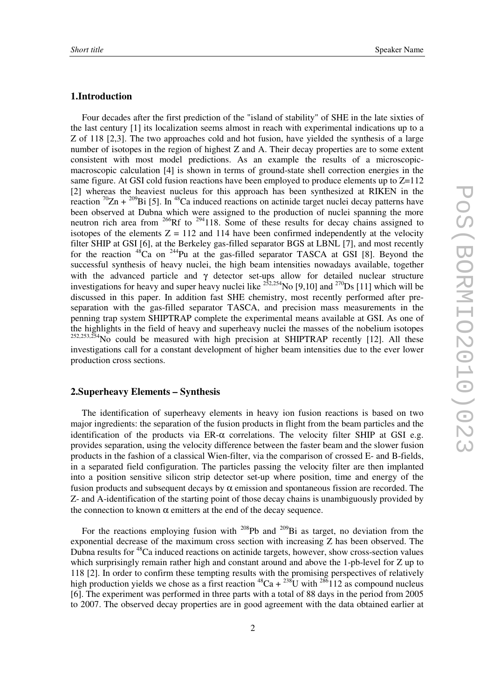## **1.Introduction**

Four decades after the first prediction of the "island of stability" of SHE in the late sixties of the last century [1] its localization seems almost in reach with experimental indications up to a Z of 118 [2,3]. The two approaches cold and hot fusion, have yielded the synthesis of a large number of isotopes in the region of highest Z and A. Their decay properties are to some extent consistent with most model predictions. As an example the results of a microscopicmacroscopic calculation [4] is shown in terms of ground-state shell correction energies in the same figure. At GSI cold fusion reactions have been employed to produce elements up to  $Z=112$ [2] whereas the heaviest nucleus for this approach has been synthesized at RIKEN in the reaction  ${}^{70}Zn + {}^{209}Bi$  [5]. In <sup>48</sup>Ca induced reactions on actinide target nuclei decay patterns have been observed at Dubna which were assigned to the production of nuclei spanning the more neutron rich area from  $266$ Rf to  $294$ 118. Some of these results for decay chains assigned to isotopes of the elements  $Z = 112$  and 114 have been confirmed independently at the velocity filter SHIP at GSI [6], at the Berkeley gas-filled separator BGS at LBNL [7], and most recently for the reaction <sup>48</sup>Ca on <sup>244</sup>Pu at the gas-filled separator TASCA at GSI [8]. Beyond the successful synthesis of heavy nuclei, the high beam intensities nowadays available, together with the advanced particle and γ detector set-ups allow for detailed nuclear structure investigations for heavy and super heavy nuclei like  $252,254$ No [9,10] and  $270$ S [11] which will be discussed in this paper. In addition fast SHE chemistry, most recently performed after preseparation with the gas-filled separator TASCA, and precision mass measurements in the penning trap system SHIPTRAP complete the experimental means available at GSI. As one of the highlights in the field of heavy and superheavy nuclei the masses of the nobelium isotopes  $252,253,254$ No could be measured with high precision at SHIPTRAP recently [12]. All these investigations call for a constant development of higher beam intensities due to the ever lower production cross sections.

#### **2.Superheavy Elements – Synthesis**

The identification of superheavy elements in heavy ion fusion reactions is based on two major ingredients: the separation of the fusion products in flight from the beam particles and the identification of the products via ER-α correlations. The velocity filter SHIP at GSI e.g. provides separation, using the velocity difference between the faster beam and the slower fusion products in the fashion of a classical Wien-filter, via the comparison of crossed E- and B-fields, in a separated field configuration. The particles passing the velocity filter are then implanted into a position sensitive silicon strip detector set-up where position, time and energy of the fusion products and subsequent decays by  $\alpha$  emission and spontaneous fission are recorded. The Z- and A-identification of the starting point of those decay chains is unambiguously provided by the connection to known  $\alpha$  emitters at the end of the decay sequence.

For the reactions employing fusion with  $^{208}Pb$  and  $^{209}Bi$  as target, no deviation from the exponential decrease of the maximum cross section with increasing Z has been observed. The Dubna results for <sup>48</sup>Ca induced reactions on actinide targets, however, show cross-section values which surprisingly remain rather high and constant around and above the 1-pb-level for Z up to 118 [2]. In order to confirm these tempting results with the promising perspectives of relatively high production yields we chose as a first reaction  ${}^{48}Ca + {}^{238}U$  with  ${}^{286}112$  as compound nucleus [6]. The experiment was performed in three parts with a total of 88 days in the period from 2005 to 2007. The observed decay properties are in good agreement with the data obtained earlier at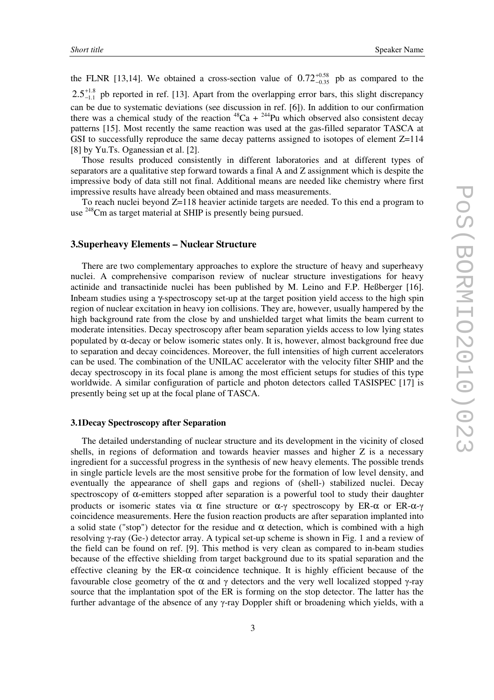the FLNR [13,14]. We obtained a cross-section value of  $0.72_{-0.35}^{+0.58}$  $0.72_{-0.35}^{+0.58}$  $^{+0.58}_{-0.35}$  pb as compared to the 1.8  $2.5^{+1.8}_{-1.1}$  $\frac{+1.8}{-1.1}$  pb reported in ref. [13]. Apart from the overlapping error bars, this slight discrepancy can be due to systematic deviations (see discussion in ref. [6]). In addition to our confirmation there was a chemical study of the reaction  $^{48}Ca + ^{244}Pu$  which observed also consistent decay patterns [15]. Most recently the same reaction was used at the gas-filled separator TASCA at GSI to successfully reproduce the same decay patterns assigned to isotopes of element  $Z=114$ [8] by Yu.Ts. Oganessian et al. [2].

Those results produced consistently in different laboratories and at different types of separators are a qualitative step forward towards a final A and Z assignment which is despite the impressive body of data still not final. Additional means are needed like chemistry where first impressive results have already been obtained and mass measurements.

To reach nuclei beyond Z=118 heavier actinide targets are needed. To this end a program to use <sup>248</sup>Cm as target material at SHIP is presently being pursued.

### **3.Superheavy Elements – Nuclear Structure**

There are two complementary approaches to explore the structure of heavy and superheavy nuclei. A comprehensive comparison review of nuclear structure investigations for heavy actinide and transactinide nuclei has been published by M. Leino and F.P. Heßberger [16]. Inbeam studies using a γ-spectroscopy set-up at the target position yield access to the high spin region of nuclear excitation in heavy ion collisions. They are, however, usually hampered by the high background rate from the close by and unshielded target what limits the beam current to moderate intensities. Decay spectroscopy after beam separation yields access to low lying states populated by  $\alpha$ -decay or below isomeric states only. It is, however, almost background free due to separation and decay coincidences. Moreover, the full intensities of high current accelerators can be used. The combination of the UNILAC accelerator with the velocity filter SHIP and the decay spectroscopy in its focal plane is among the most efficient setups for studies of this type worldwide. A similar configuration of particle and photon detectors called TASISPEC [17] is presently being set up at the focal plane of TASCA.

## **3.1Decay Spectroscopy after Separation**

The detailed understanding of nuclear structure and its development in the vicinity of closed shells, in regions of deformation and towards heavier masses and higher Z is a necessary ingredient for a successful progress in the synthesis of new heavy elements. The possible trends in single particle levels are the most sensitive probe for the formation of low level density, and eventually the appearance of shell gaps and regions of (shell-) stabilized nuclei. Decay spectroscopy of  $\alpha$ -emitters stopped after separation is a powerful tool to study their daughter products or isomeric states via  $\alpha$  fine structure or  $\alpha$ - $\gamma$  spectroscopy by ER- $\alpha$  or ER- $\alpha$ - $\gamma$ coincidence measurements. Here the fusion reaction products are after separation implanted into a solid state ("stop") detector for the residue and  $\alpha$  detection, which is combined with a high resolving  $\gamma$ -ray (Ge-) detector array. A typical set-up scheme is shown in Fig. 1 and a review of the field can be found on ref. [9]. This method is very clean as compared to in-beam studies because of the effective shielding from target background due to its spatial separation and the effective cleaning by the ER-α coincidence technique. It is highly efficient because of the favourable close geometry of the  $\alpha$  and  $\gamma$  detectors and the very well localized stopped  $\gamma$ -ray source that the implantation spot of the ER is forming on the stop detector. The latter has the further advantage of the absence of any  $\gamma$ -ray Doppler shift or broadening which yields, with a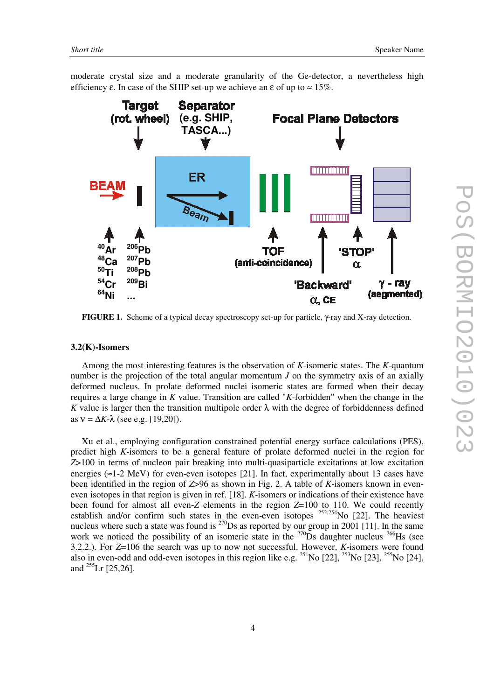moderate crystal size and a moderate granularity of the Ge-detector, a nevertheless high efficiency  $\varepsilon$ . In case of the SHIP set-up we achieve an  $\varepsilon$  of up to  $\approx 15\%$ .



**FIGURE 1.** Scheme of a typical decay spectroscopy set-up for particle, γ-ray and X-ray detection.

#### **3.2(K)-Isomers**

Among the most interesting features is the observation of *K*-isomeric states. The *K*-quantum number is the projection of the total angular momentum *J* on the symmetry axis of an axially deformed nucleus. In prolate deformed nuclei isomeric states are formed when their decay requires a large change in *K* value. Transition are called "*K*-forbidden" when the change in the *K* value is larger then the transition multipole order  $\lambda$  with the degree of forbiddenness defined as  $v = \Delta K - \lambda$  (see e.g. [19,20]).

Xu et al., employing configuration constrained potential energy surface calculations (PES), predict high *K*-isomers to be a general feature of prolate deformed nuclei in the region for *Z*>100 in terms of nucleon pair breaking into multi-quasiparticle excitations at low excitation energies ( $\approx$ 1-2 MeV) for even-even isotopes [21]. In fact, experimentally about 13 cases have been identified in the region of *Z*>96 as shown in Fig. 2. A table of *K*-isomers known in eveneven isotopes in that region is given in ref. [18]. *K*-isomers or indications of their existence have been found for almost all even-*Z* elements in the region *Z*=100 to 110. We could recently establish and/or confirm such states in the even-even isotopes  $^{252,254}$ No [22]. The heaviest nucleus where such a state was found is  $^{270}$ Ds as reported by our group in 2001 [11]. In the same work we noticed the possibility of an isomeric state in the  $^{270}$ Ds daughter nucleus  $^{266}$ Hs (see 3.2.2.). For *Z*=106 the search was up to now not successful. However, *K*-isomers were found also in even-odd and odd-even isotopes in this region like e.g.  $^{251}$ No [22],  $^{253}$ No [23],  $^{255}$ No [24], and  $^{255}$ Lr [25,26].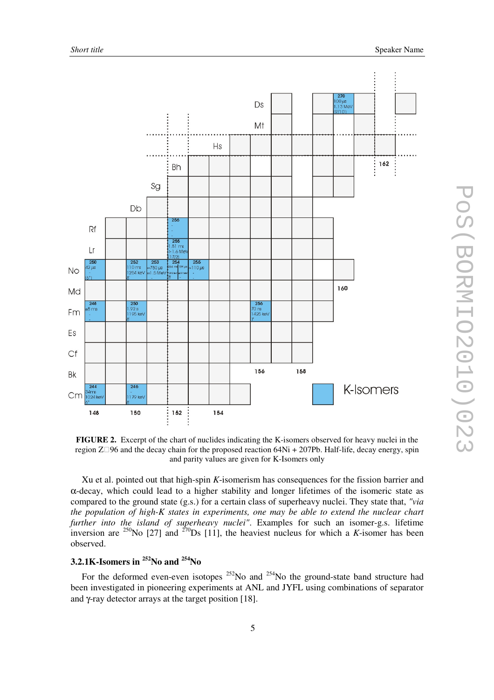

**FIGURE 2.** Excerpt of the chart of nuclides indicating the K-isomers observed for heavy nuclei in the region Z-96 and the decay chain for the proposed reaction 64Ni + 207Pb. Half-life, decay energy, spin and parity values are given for K-Isomers only

Xu et al. pointed out that high-spin *K*-isomerism has consequences for the fission barrier and α-decay, which could lead to a higher stability and longer lifetimes of the isomeric state as compared to the ground state (g.s.) for a certain class of superheavy nuclei. They state that, *"via the population of high-K states in experiments, one may be able to extend the nuclear chart further into the island of superheavy nuclei"*. Examples for such an isomer-g.s. lifetime inversion are <sup>250</sup>No [27] and <sup>270</sup>Ds [11], the heaviest nucleus for which a *K*-isomer has been observed.

# **3.2.1K-Isomers in <sup>252</sup>No and <sup>254</sup>No**

For the deformed even-even isotopes  $252$ No and  $254$ No the ground-state band structure had been investigated in pioneering experiments at ANL and JYFL using combinations of separator and γ-ray detector arrays at the target position [18].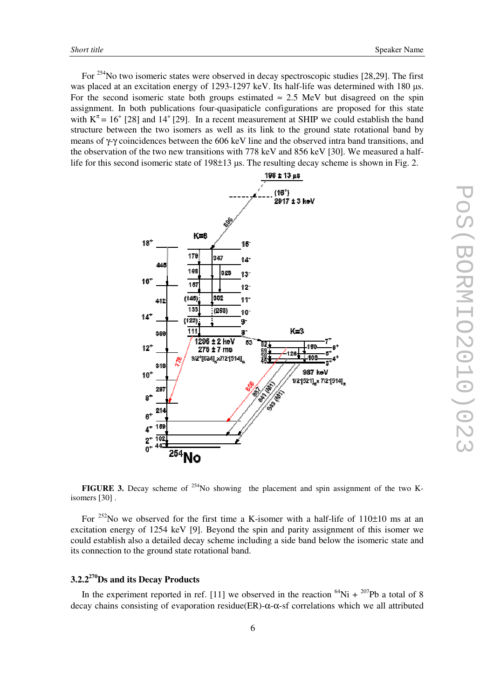For <sup>254</sup>No two isomeric states were observed in decay spectroscopic studies [28,29]. The first was placed at an excitation energy of 1293-1297 keV. Its half-life was determined with 180  $\mu$ s. For the second isomeric state both groups estimated  $\approx 2.5$  MeV but disagreed on the spin assignment. In both publications four-quasipaticle configurations are proposed for this state with  $K^{\pi} = 16^{+}$  [28] and 14<sup>+</sup> [29]. In a recent measurement at SHIP we could establish the band structure between the two isomers as well as its link to the ground state rotational band by means of γ-γ coincidences between the 606 keV line and the observed intra band transitions, and the observation of the two new transitions with 778 keV and 856 keV [30]. We measured a halflife for this second isomeric state of  $198\pm 13$  us. The resulting decay scheme is shown in Fig. 2.



**FIGURE 3.** Decay scheme of <sup>254</sup>No showing the placement and spin assignment of the two Kisomers [30] .

For  $252$ No we observed for the first time a K-isomer with a half-life of  $110\pm10$  ms at an excitation energy of 1254 keV [9]. Beyond the spin and parity assignment of this isomer we could establish also a detailed decay scheme including a side band below the isomeric state and its connection to the ground state rotational band.

# **3.2.2 <sup>270</sup>Ds and its Decay Products**

In the experiment reported in ref. [11] we observed in the reaction  ${}^{64}Ni + {}^{207}Pb$  a total of 8 decay chains consisting of evaporation residue(ER)-α-α-sf correlations which we all attributed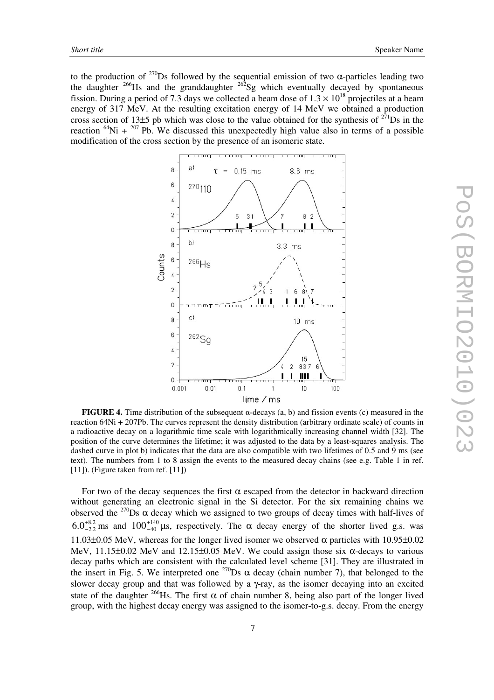to the production of  $270$  S followed by the sequential emission of two  $\alpha$ -particles leading two the daughter  $^{266}$ Hs and the granddaughter  $^{262}$ Sg which eventually decayed by spontaneous fission. During a period of 7.3 days we collected a beam dose of  $1.3 \times 10^{18}$  projectiles at a beam energy of 317 MeV. At the resulting excitation energy of 14 MeV we obtained a production cross section of 13 $\pm$ 5 pb which was close to the value obtained for the synthesis of  $^{271}$ Ds in the reaction  ${}^{64}$ Ni +  ${}^{207}$  Pb. We discussed this unexpectedly high value also in terms of a possible modification of the cross section by the presence of an isomeric state.



**FIGURE 4.** Time distribution of the subsequent  $\alpha$ -decays (a, b) and fission events (c) measured in the reaction 64Ni + 207Pb. The curves represent the density distribution (arbitrary ordinate scale) of counts in a radioactive decay on a logarithmic time scale with logarithmically increasing channel width [32]. The position of the curve determines the lifetime; it was adjusted to the data by a least-squares analysis. The dashed curve in plot b) indicates that the data are also compatible with two lifetimes of 0.5 and 9 ms (see text). The numbers from 1 to 8 assign the events to the measured decay chains (see e.g. Table 1 in ref. [11]). (Figure taken from ref. [11])

For two of the decay sequences the first  $\alpha$  escaped from the detector in backward direction without generating an electronic signal in the Si detector. For the six remaining chains we observed the  $270$  Os  $\alpha$  decay which we assigned to two groups of decay times with half-lives of 8.2  $6.0^{+8.2}_{-2.2}$  ms and  $100^{+140}_{-40}$  $100^{+140}_{-40}$  µs, respectively. The  $\alpha$  decay energy of the shorter lived g.s. was 11.03 $\pm$ 0.05 MeV, whereas for the longer lived isomer we observed  $\alpha$  particles with 10.95 $\pm$ 0.02 MeV, 11.15 $\pm$ 0.02 MeV and 12.15 $\pm$ 0.05 MeV. We could assign those six  $\alpha$ -decays to various decay paths which are consistent with the calculated level scheme [31]. They are illustrated in the insert in Fig. 5. We interpreted one  $^{270}$ Ds  $\alpha$  decay (chain number 7), that belonged to the slower decay group and that was followed by a γ-ray, as the isomer decaying into an excited state of the daughter <sup>266</sup>Hs. The first  $\alpha$  of chain number 8, being also part of the longer lived group, with the highest decay energy was assigned to the isomer-to-g.s. decay. From the energy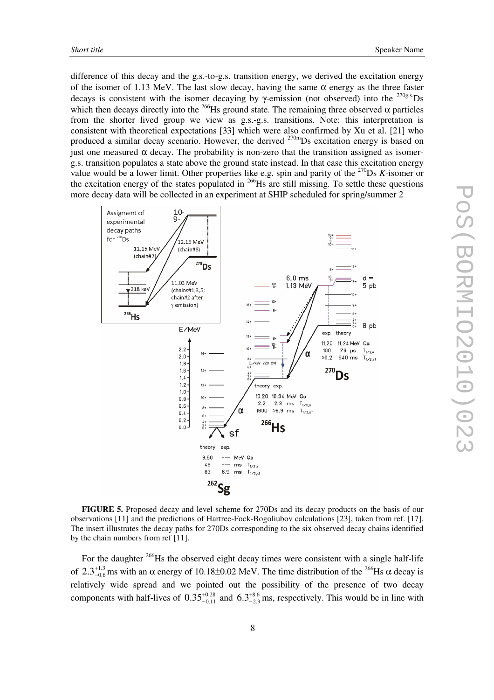difference of this decay and the g.s.-to-g.s. transition energy, we derived the excitation energy of the isomer of 1.13 MeV. The last slow decay, having the same  $\alpha$  energy as the three faster decays is consistent with the isomer decaying by  $\gamma$ -emission (not observed) into the <sup>270g.s.</sup>Ds which then decays directly into the  $^{266}$ Hs ground state. The remaining three observed  $\alpha$  particles from the shorter lived group we view as g.s.-g.s. transitions. Note: this interpretation is consistent with theoretical expectations [33] which were also confirmed by Xu et al. [21] who produced a similar decay scenario. However, the derived <sup>270m</sup>Ds excitation energy is based on just one measured  $\alpha$  decay. The probability is non-zero that the transition assigned as isomerg.s. transition populates a state above the ground state instead. In that case this excitation energy value would be a lower limit. Other properties like e.g. spin and parity of the  $^{270}$ Ds *K*-isomer or the excitation energy of the states populated in  $^{266}$ Hs are still missing. To settle these questions more decay data will be collected in an experiment at SHIP scheduled for spring/summer 2



**FIGURE 5.** Proposed decay and level scheme for 270Ds and its decay products on the basis of our observations [11] and the predictions of Hartree-Fock-Bogoliubov calculations [23], taken from ref. [17]. The insert illustrates the decay paths for 270Ds corresponding to the six observed decay chains identified by the chain numbers from ref [11].

For the daughter <sup>266</sup>Hs the observed eight decay times were consistent with a single half-life of  $2.3^{+1.3}_{-0.6}$  $2.3^{+1.3}_{-0.6}$  ms with an  $\alpha$  energy of 10.18±0.02 MeV. The time distribution of the <sup>266</sup>Hs  $\alpha$  decay is relatively wide spread and we pointed out the possibility of the presence of two decay components with half-lives of  $0.35_{-0.11}^{+0.28}$  $0.35_{-0.11}^{+0.28}$  $^{+0.28}_{-0.11}$  and  $6.3^{+8.6}_{-2.3}$  $6.3^{+8.6}_{-2.3}$  ms, respectively. This would be in line with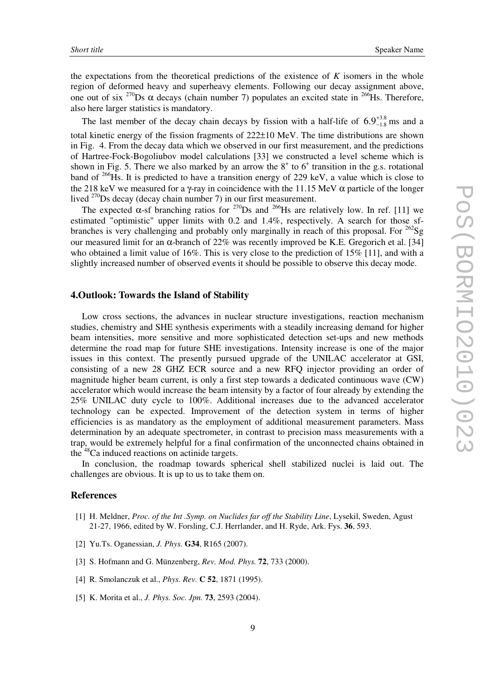the expectations from the theoretical predictions of the existence of *K* isomers in the whole region of deformed heavy and superheavy elements. Following our decay assignment above, one out of six <sup>270</sup>Ds  $\alpha$  decays (chain number 7) populates an excited state in <sup>266</sup>Hs. Therefore, also here larger statistics is mandatory.

The last member of the decay chain decays by fission with a half-life of  $6.9^{+3.8}_{-1.8}$  $6.9^{+3.8}_{-1.8}$  ms and a

total kinetic energy of the fission fragments of  $222\pm10$  MeV. The time distributions are shown in Fig. 4. From the decay data which we observed in our first measurement, and the predictions of Hartree-Fock-Bogoliubov model calculations [33] we constructed a level scheme which is shown in Fig. 5. There we also marked by an arrow the  $8<sup>+</sup>$  to  $6<sup>+</sup>$  transition in the g.s. rotational band of <sup>266</sup>Hs. It is predicted to have a transition energy of 229 keV, a value which is close to the 218 keV we measured for a γ-ray in coincidence with the 11.15 MeV  $\alpha$  particle of the longer lived <sup>270</sup>Ds decay (decay chain number 7) in our first measurement.

The expected  $\alpha$ -sf branching ratios for <sup>270</sup>Ds and <sup>266</sup>Hs are relatively low. In ref. [11] we estimated "optimistic" upper limits with 0.2 and 1.4%, respectively. A search for those sfbranches is very challenging and probably only marginally in reach of this proposal. For <sup>262</sup>Sg our measured limit for an  $\alpha$ -branch of 22% was recently improved be K.E. Gregorich et al. [34] who obtained a limit value of 16%. This is very close to the prediction of 15% [11], and with a slightly increased number of observed events it should be possible to observe this decay mode.

# **4.Outlook: Towards the Island of Stability**

Low cross sections, the advances in nuclear structure investigations, reaction mechanism studies, chemistry and SHE synthesis experiments with a steadily increasing demand for higher beam intensities, more sensitive and more sophisticated detection set-ups and new methods determine the road map for future SHE investigations. Intensity increase is one of the major issues in this context. The presently pursued upgrade of the UNILAC accelerator at GSI, consisting of a new 28 GHZ ECR source and a new RFQ injector providing an order of magnitude higher beam current, is only a first step towards a dedicated continuous wave (CW) accelerator which would increase the beam intensity by a factor of four already by extending the 25% UNILAC duty cycle to 100%. Additional increases due to the advanced accelerator technology can be expected. Improvement of the detection system in terms of higher efficiencies is as mandatory as the employment of additional measurement parameters. Mass determination by an adequate spectrometer, in contrast to precision mass measurements with a trap, would be extremely helpful for a final confirmation of the unconnected chains obtained in the <sup>48</sup>Ca induced reactions on actinide targets.

In conclusion, the roadmap towards spherical shell stabilized nuclei is laid out. The challenges are obvious. It is up to us to take them on.

## **References**

- [1] H. Meldner, *Proc. of the Int .Symp. on Nuclides far off the Stability Line*, Lysekil, Sweden, Agust 21-27, 1966, edited by W. Forsling, C.J. Herrlander, and H. Ryde, Ark. Fys. **36**, 593.
- [2] Yu.Ts. Oganessian, *J. Phys.* **G34**, R165 (2007).
- [3] S. Hofmann and G. Münzenberg, *Rev. Mod. Phys.* **72**, 733 (2000).
- [4] R. Smolanczuk et al., *Phys. Rev.* **C 52**, 1871 (1995).
- [5] K. Morita et al., *J. Phys. Soc. Jpn.* **73**, 2593 (2004).